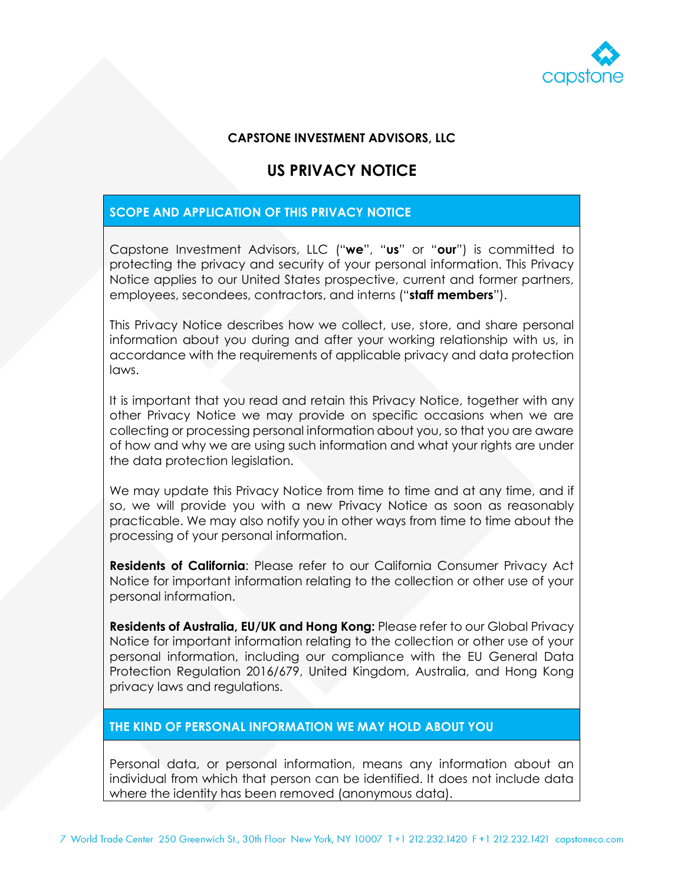

### **CAPSTONE INVESTMENT ADVISORS, LLC**

# **US PRIVACY NOTICE**

### **SCOPE AND APPLICATION OF THIS PRIVACY NOTICE**

Capstone Investment Advisors, LLC ("**we**", "**us**" or "**our**") is committed to protecting the privacy and security of your personal information. This Privacy Notice applies to our United States prospective, current and former partners, employees, secondees, contractors, and interns ("**staff members**").

This Privacy Notice describes how we collect, use, store, and share personal information about you during and after your working relationship with us, in accordance with the requirements of applicable privacy and data protection laws.

It is important that you read and retain this Privacy Notice, together with any other Privacy Notice we may provide on specific occasions when we are collecting or processing personal information about you, so that you are aware of how and why we are using such information and what your rights are under the data protection legislation.

We may update this Privacy Notice from time to time and at any time, and if so, we will provide you with a new Privacy Notice as soon as reasonably practicable. We may also notify you in other ways from time to time about the processing of your personal information.

**Residents of California**: Please refer to our California Consumer Privacy Act Notice for important information relating to the collection or other use of your personal information.

**Residents of Australia, EU/UK and Hong Kong:** Please refer to our Global Privacy Notice for important information relating to the collection or other use of your personal information, including our compliance with the EU General Data Protection Regulation 2016/679, United Kingdom, Australia, and Hong Kong privacy laws and regulations.

#### **THE KIND OF PERSONAL INFORMATION WE MAY HOLD ABOUT YOU**

Personal data, or personal information, means any information about an individual from which that person can be identified. It does not include data where the identity has been removed (anonymous data).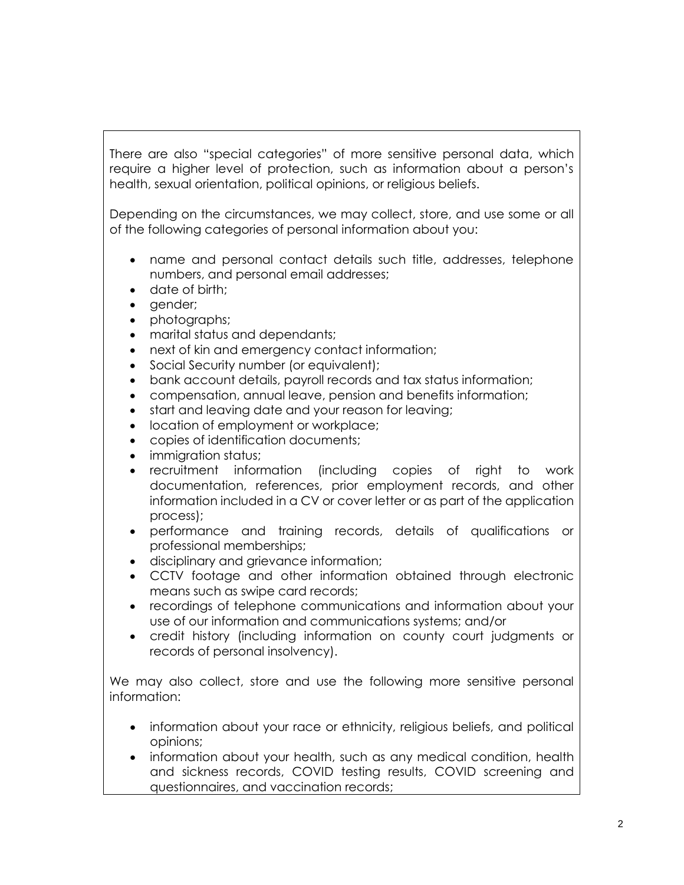There are also "special categories" of more sensitive personal data, which require a higher level of protection, such as information about a person's health, sexual orientation, political opinions, or religious beliefs.

Depending on the circumstances, we may collect, store, and use some or all of the following categories of personal information about you:

- name and personal contact details such title, addresses, telephone numbers, and personal email addresses;
- date of birth;
- gender;
- photographs;
- marital status and dependants;
- next of kin and emergency contact information;
- Social Security number (or equivalent);
- bank account details, payroll records and tax status information;
- compensation, annual leave, pension and benefits information;
- start and leaving date and your reason for leaving;
- location of employment or workplace;
- copies of identification documents;
- immigration status;
- recruitment information (including copies of right to work documentation, references, prior employment records, and other information included in a CV or cover letter or as part of the application process);
- performance and training records, details of qualifications or professional memberships;
- disciplinary and grievance information;
- CCTV footage and other information obtained through electronic means such as swipe card records;
- recordings of telephone communications and information about your use of our information and communications systems; and/or
- credit history (including information on county court judgments or records of personal insolvency).

We may also collect, store and use the following more sensitive personal information:

- information about your race or ethnicity, religious beliefs, and political opinions;
- information about your health, such as any medical condition, health and sickness records, COVID testing results, COVID screening and questionnaires, and vaccination records;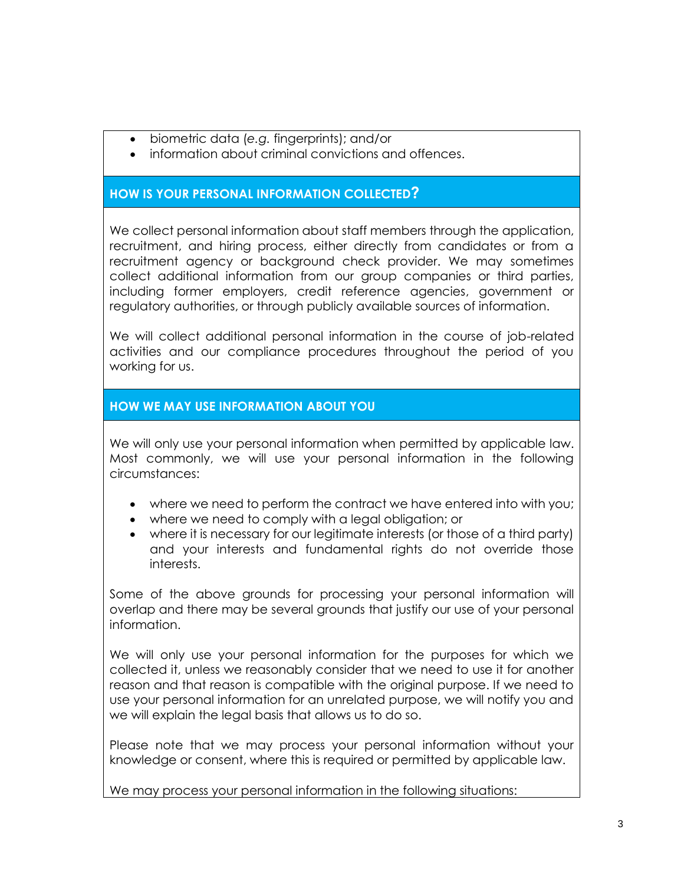- biometric data (*e.g.* fingerprints); and/or
- information about criminal convictions and offences.

### **HOW IS YOUR PERSONAL INFORMATION COLLECTED?**

We collect personal information about staff members through the application, recruitment, and hiring process, either directly from candidates or from a recruitment agency or background check provider. We may sometimes collect additional information from our group companies or third parties, including former employers, credit reference agencies, government or regulatory authorities, or through publicly available sources of information.

We will collect additional personal information in the course of job-related activities and our compliance procedures throughout the period of you working for us.

# **HOW WE MAY USE INFORMATION ABOUT YOU**

We will only use your personal information when permitted by applicable law. Most commonly, we will use your personal information in the following circumstances:

- where we need to perform the contract we have entered into with you;
- where we need to comply with a legal obligation; or
- where it is necessary for our legitimate interests (or those of a third party) and your interests and fundamental rights do not override those interests.

Some of the above grounds for processing your personal information will overlap and there may be several grounds that justify our use of your personal information.

We will only use your personal information for the purposes for which we collected it, unless we reasonably consider that we need to use it for another reason and that reason is compatible with the original purpose. If we need to use your personal information for an unrelated purpose, we will notify you and we will explain the legal basis that allows us to do so.

Please note that we may process your personal information without your knowledge or consent, where this is required or permitted by applicable law.

We may process your personal information in the following situations: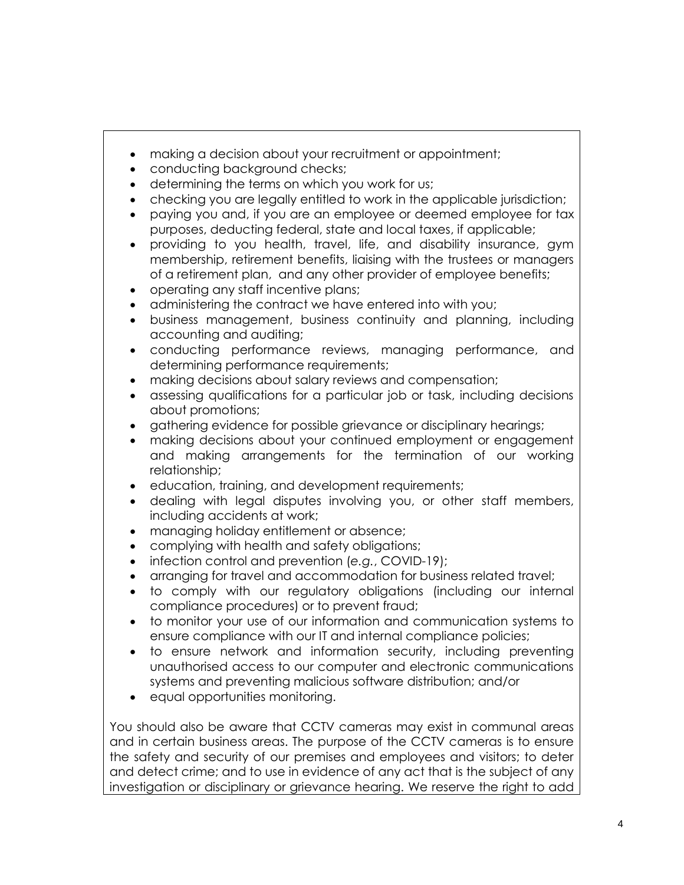- making a decision about your recruitment or appointment;
- conducting background checks;
- determining the terms on which you work for us;
- checking you are legally entitled to work in the applicable jurisdiction;
- paying you and, if you are an employee or deemed employee for tax purposes, deducting federal, state and local taxes, if applicable;
- providing to you health, travel, life, and disability insurance, gym membership, retirement benefits, liaising with the trustees or managers of a retirement plan, and any other provider of employee benefits;
- operating any staff incentive plans;
- administering the contract we have entered into with you;
- business management, business continuity and planning, including accounting and auditing;
- conducting performance reviews, managing performance, and determining performance requirements;
- making decisions about salary reviews and compensation;
- assessing qualifications for a particular job or task, including decisions about promotions;
- gathering evidence for possible grievance or disciplinary hearings;
- making decisions about your continued employment or engagement and making arrangements for the termination of our working relationship;
- education, training, and development requirements;
- dealing with legal disputes involving you, or other staff members, including accidents at work;
- managing holiday entitlement or absence;
- complying with health and safety obligations;
- $\bullet$  infection control and prevention (e.g., COVID-19);
- arranging for travel and accommodation for business related travel;
- to comply with our regulatory obligations (including our internal compliance procedures) or to prevent fraud;
- to monitor your use of our information and communication systems to ensure compliance with our IT and internal compliance policies;
- to ensure network and information security, including preventing unauthorised access to our computer and electronic communications systems and preventing malicious software distribution; and/or
- equal opportunities monitoring.

You should also be aware that CCTV cameras may exist in communal areas and in certain business areas. The purpose of the CCTV cameras is to ensure the safety and security of our premises and employees and visitors; to deter and detect crime; and to use in evidence of any act that is the subject of any investigation or disciplinary or grievance hearing. We reserve the right to add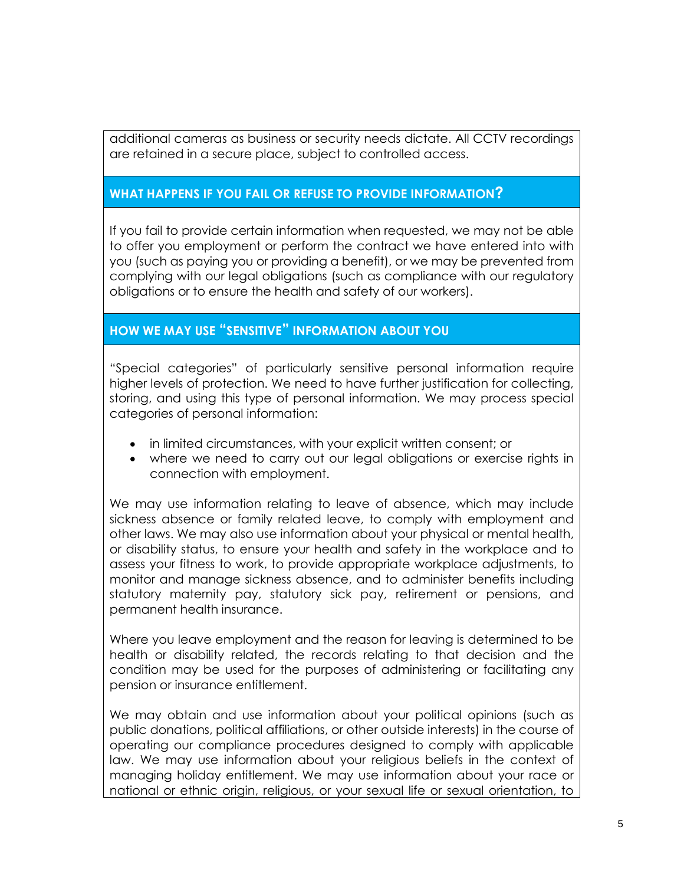additional cameras as business or security needs dictate. All CCTV recordings are retained in a secure place, subject to controlled access.

## **WHAT HAPPENS IF YOU FAIL OR REFUSE TO PROVIDE INFORMATION?**

If you fail to provide certain information when requested, we may not be able to offer you employment or perform the contract we have entered into with you (such as paying you or providing a benefit), or we may be prevented from complying with our legal obligations (such as compliance with our regulatory obligations or to ensure the health and safety of our workers).

# **HOW WE MAY USE "SENSITIVE" INFORMATION ABOUT YOU**

"Special categories" of particularly sensitive personal information require higher levels of protection. We need to have further justification for collecting, storing, and using this type of personal information. We may process special categories of personal information:

- in limited circumstances, with your explicit written consent; or
- where we need to carry out our legal obligations or exercise rights in connection with employment.

We may use information relating to leave of absence, which may include sickness absence or family related leave, to comply with employment and other laws. We may also use information about your physical or mental health, or disability status, to ensure your health and safety in the workplace and to assess your fitness to work, to provide appropriate workplace adjustments, to monitor and manage sickness absence, and to administer benefits including statutory maternity pay, statutory sick pay, retirement or pensions, and permanent health insurance.

Where you leave employment and the reason for leaving is determined to be health or disability related, the records relating to that decision and the condition may be used for the purposes of administering or facilitating any pension or insurance entitlement.

We may obtain and use information about your political opinions (such as public donations, political affiliations, or other outside interests) in the course of operating our compliance procedures designed to comply with applicable law. We may use information about your religious beliefs in the context of managing holiday entitlement. We may use information about your race or national or ethnic origin, religious, or your sexual life or sexual orientation, to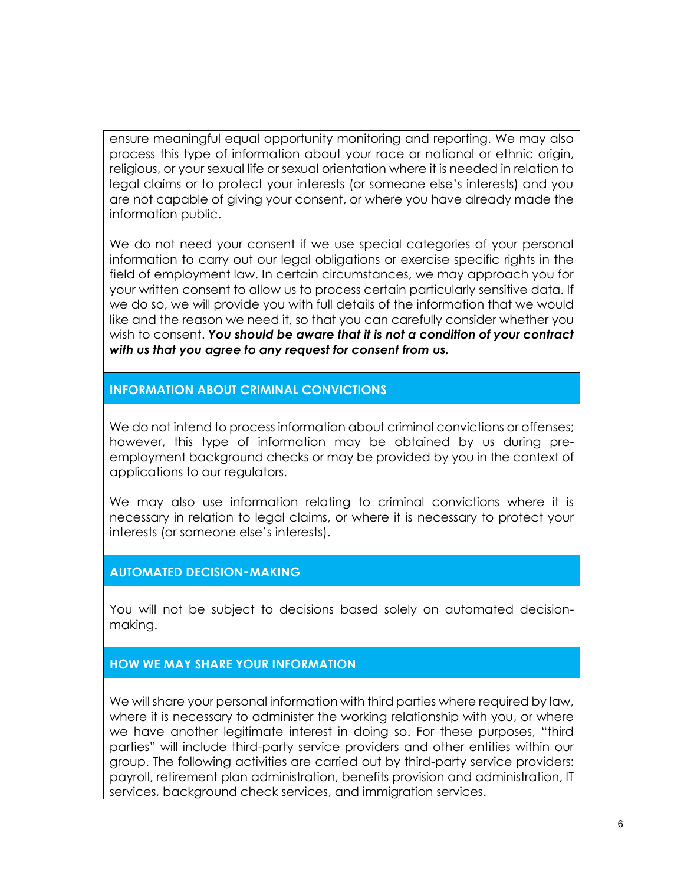ensure meaningful equal opportunity monitoring and reporting. We may also process this type of information about your race or national or ethnic origin, religious, or your sexual life or sexual orientation where it is needed in relation to legal claims or to protect your interests (or someone else's interests) and you are not capable of giving your consent, or where you have already made the information public.

We do not need your consent if we use special categories of your personal information to carry out our legal obligations or exercise specific rights in the field of employment law. In certain circumstances, we may approach you for your written consent to allow us to process certain particularly sensitive data. If we do so, we will provide you with full details of the information that we would like and the reason we need it, so that you can carefully consider whether you wish to consent. *You should be aware that it is not a condition of your contract with us that you agree to any request for consent from us.*

### **INFORMATION ABOUT CRIMINAL CONVICTIONS**

We do not intend to process information about criminal convictions or offenses; however, this type of information may be obtained by us during preemployment background checks or may be provided by you in the context of applications to our regulators.

We may also use information relating to criminal convictions where it is necessary in relation to legal claims, or where it is necessary to protect your interests (or someone else's interests).

## **AUTOMATED DECISION-MAKING**

You will not be subject to decisions based solely on automated decisionmaking.

## **HOW WE MAY SHARE YOUR INFORMATION**

We will share your personal information with third parties where required by law, where it is necessary to administer the working relationship with you, or where we have another legitimate interest in doing so. For these purposes, "third parties" will include third-party service providers and other entities within our group. The following activities are carried out by third-party service providers: payroll, retirement plan administration, benefits provision and administration, IT services, background check services, and immigration services.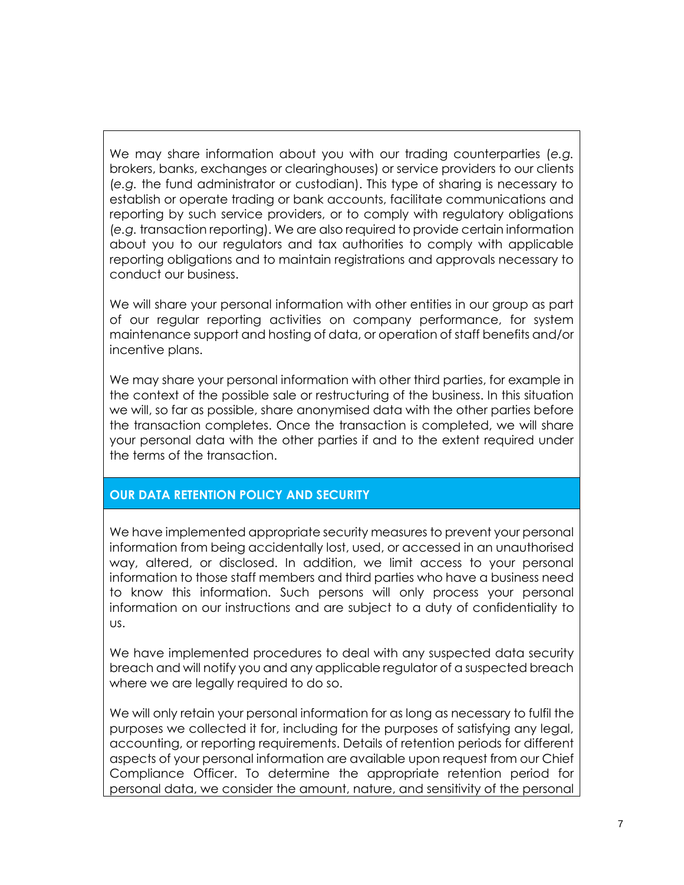We may share information about you with our trading counterparties (*e.g.* brokers, banks, exchanges or clearinghouses) or service providers to our clients (*e.g.* the fund administrator or custodian). This type of sharing is necessary to establish or operate trading or bank accounts, facilitate communications and reporting by such service providers, or to comply with regulatory obligations (*e.g.* transaction reporting). We are also required to provide certain information about you to our regulators and tax authorities to comply with applicable reporting obligations and to maintain registrations and approvals necessary to conduct our business.

We will share your personal information with other entities in our group as part of our regular reporting activities on company performance, for system maintenance support and hosting of data, or operation of staff benefits and/or incentive plans.

We may share your personal information with other third parties, for example in the context of the possible sale or restructuring of the business. In this situation we will, so far as possible, share anonymised data with the other parties before the transaction completes. Once the transaction is completed, we will share your personal data with the other parties if and to the extent required under the terms of the transaction.

## **OUR DATA RETENTION POLICY AND SECURITY**

We have implemented appropriate security measures to prevent your personal information from being accidentally lost, used, or accessed in an unauthorised way, altered, or disclosed. In addition, we limit access to your personal information to those staff members and third parties who have a business need to know this information. Such persons will only process your personal information on our instructions and are subject to a duty of confidentiality to us.

We have implemented procedures to deal with any suspected data security breach and will notify you and any applicable regulator of a suspected breach where we are legally required to do so.

We will only retain your personal information for as long as necessary to fulfil the purposes we collected it for, including for the purposes of satisfying any legal, accounting, or reporting requirements. Details of retention periods for different aspects of your personal information are available upon request from our Chief Compliance Officer. To determine the appropriate retention period for personal data, we consider the amount, nature, and sensitivity of the personal